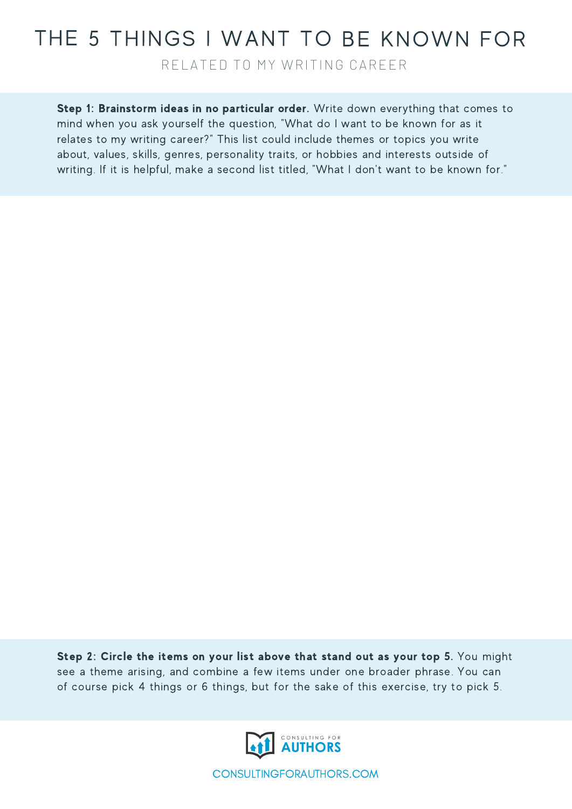## THE 5 THINGS I WANT TO BE KNOWN FOR

RELATED TO MY WRITING CAREER

Step 1: Brainstorm ideas in no particular order. Write down everything that comes to mind when you ask yourself the question, "What do I want to be known for as it relates to my writing career?" This list could include themes or topics you write about, values, skills, genres, personality traits, or hobbies and interests outside of writing. If it is helpful, make a second list titled, "What I don't want to be known for."

Step 2: Circle the items on your list above that stand out as your top 5. You might see a theme arising, and combine a few items under one broader phrase. You can of course pick 4 things or 6 things, but for the sake of this exercise, try to pick 5.